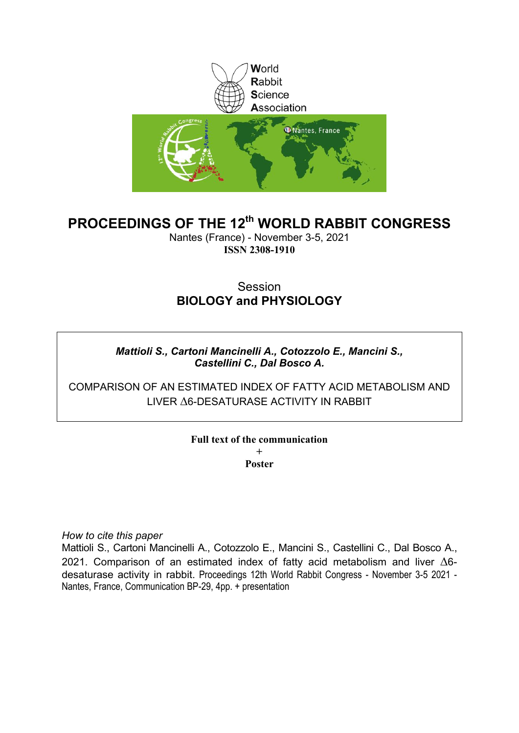

# **PROCEEDINGS OF THE 12th WORLD RABBIT CONGRESS**

Nantes (France) - November 3-5, 2021 **ISSN 2308-1910**

# **Session BIOLOGY and PHYSIOLOGY**

# *Mattioli S., Cartoni Mancinelli A., Cotozzolo E., Mancini S., Castellini C., Dal Bosco A.*

COMPARISON OF AN ESTIMATED INDEX OF FATTY ACID METABOLISM AND LIVER A6-DESATURASE ACTIVITY IN RABBIT

# **Full text of the communication +**

**Poster**

*How to cite this paper*

Mattioli S., Cartoni Mancinelli A., Cotozzolo E., Mancini S., Castellini C., Dal Bosco A., 2021. Comparison of an estimated index of fatty acid metabolism and liver  $\Delta 6$ desaturase activity in rabbit. Proceedings 12th World Rabbit Congress - November 3-5 2021 - Nantes, France, Communication BP-29, 4pp. + presentation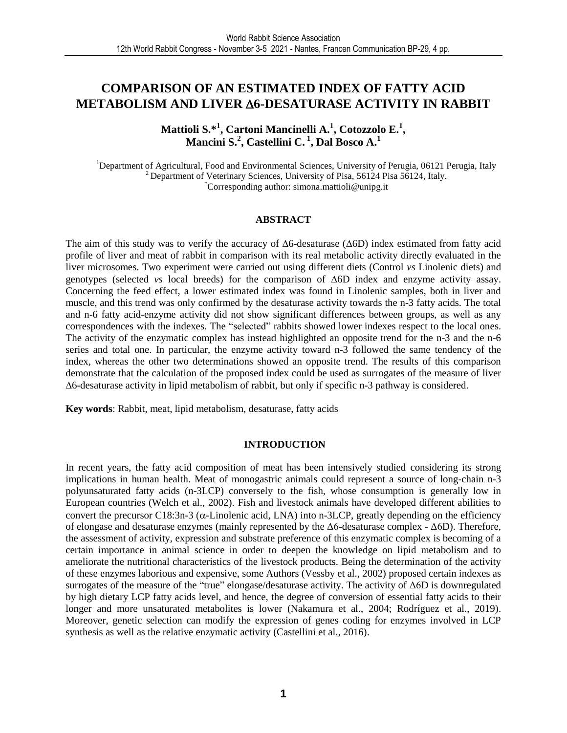# **COMPARISON OF AN ESTIMATED INDEX OF FATTY ACID METABOLISM AND LIVER 6-DESATURASE ACTIVITY IN RABBIT**

**Mattioli S.\*<sup>1</sup> , Cartoni Mancinelli A.<sup>1</sup> , Cotozzolo E.<sup>1</sup> , Mancini S.<sup>2</sup> , Castellini C. <sup>1</sup> , Dal Bosco A.<sup>1</sup>**

<sup>1</sup>Department of Agricultural, Food and Environmental Sciences, University of Perugia, 06121 Perugia, Italy <sup>2</sup> Department of Veterinary Sciences, University of Pisa, 56124 Pisa 56124, Italy. \*Corresponding author: simona.mattioli@unipg.it

## **ABSTRACT**

The aim of this study was to verify the accuracy of  $\Delta 6$ -desaturase ( $\Delta 6D$ ) index estimated from fatty acid profile of liver and meat of rabbit in comparison with its real metabolic activity directly evaluated in the liver microsomes. Two experiment were carried out using different diets (Control *vs* Linolenic diets) and genotypes (selected *vs* local breeds) for the comparison of  $\Delta 6D$  index and enzyme activity assay. Concerning the feed effect, a lower estimated index was found in Linolenic samples, both in liver and muscle, and this trend was only confirmed by the desaturase activity towards the n-3 fatty acids. The total and n-6 fatty acid-enzyme activity did not show significant differences between groups, as well as any correspondences with the indexes. The "selected" rabbits showed lower indexes respect to the local ones. The activity of the enzymatic complex has instead highlighted an opposite trend for the n-3 and the n-6 series and total one. In particular, the enzyme activity toward n-3 followed the same tendency of the index, whereas the other two determinations showed an opposite trend. The results of this comparison demonstrate that the calculation of the proposed index could be used as surrogates of the measure of liver 6-desaturase activity in lipid metabolism of rabbit, but only if specific n-3 pathway is considered.

**Key words**: Rabbit, meat, lipid metabolism, desaturase, fatty acids

#### **INTRODUCTION**

In recent years, the fatty acid composition of meat has been intensively studied considering its strong implications in human health. Meat of monogastric animals could represent a source of long-chain n-3 polyunsaturated fatty acids (n-3LCP) conversely to the fish, whose consumption is generally low in European countries (Welch et al., 2002). Fish and livestock animals have developed different abilities to convert the precursor C18:3n-3 ( $\alpha$ -Linolenic acid, LNA) into n-3LCP, greatly depending on the efficiency of elongase and desaturase enzymes (mainly represented by the Δ6-desaturase complex - Δ6D). Therefore, the assessment of activity, expression and substrate preference of this enzymatic complex is becoming of a certain importance in animal science in order to deepen the knowledge on lipid metabolism and to ameliorate the nutritional characteristics of the livestock products. Being the determination of the activity of these enzymes laborious and expensive, some Authors (Vessby et al., 2002) proposed certain indexes as surrogates of the measure of the "true" elongase/desaturase activity. The activity of Δ6D is downregulated by high dietary LCP fatty acids level, and hence, the degree of conversion of essential fatty acids to their longer and more unsaturated metabolites is lower (Nakamura et al., 2004; Rodríguez et al., 2019). Moreover, genetic selection can modify the expression of genes coding for enzymes involved in LCP synthesis as well as the relative enzymatic activity (Castellini et al., 2016).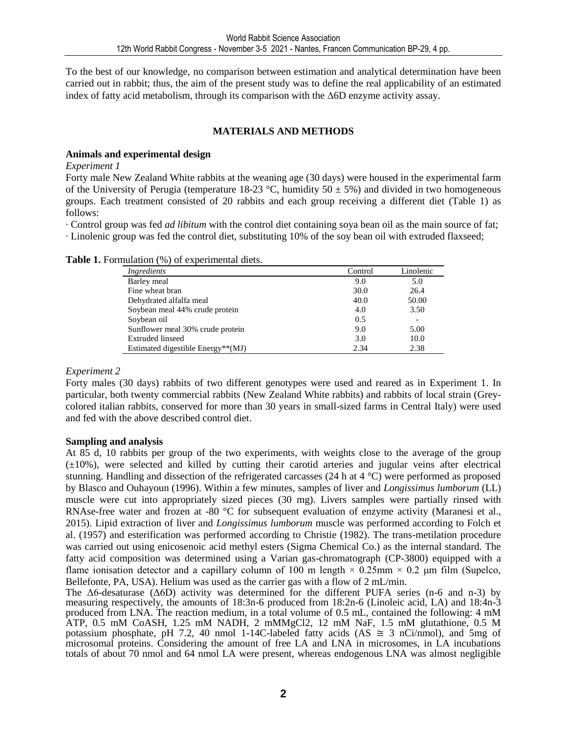To the best of our knowledge, no comparison between estimation and analytical determination have been carried out in rabbit; thus, the aim of the present study was to define the real applicability of an estimated index of fatty acid metabolism, through its comparison with the  $\Delta 6D$  enzyme activity assay.

## **MATERIALS AND METHODS**

## **Animals and experimental design**

*Experiment 1* 

Forty male New Zealand White rabbits at the weaning age (30 days) were housed in the experimental farm of the University of Perugia (temperature 18-23 °C, humidity  $50 \pm 5\%$ ) and divided in two homogeneous groups. Each treatment consisted of 20 rabbits and each group receiving a different diet (Table 1) as follows:

∙ Control group was fed *ad libitum* with the control diet containing soya bean oil as the main source of fat; ∙ Linolenic group was fed the control diet, substituting 10% of the soy bean oil with extruded flaxseed;

| Ingredients                       | Control | Linolenic |
|-----------------------------------|---------|-----------|
| Barley meal                       | 9.0     | 5.0       |
| Fine wheat bran                   | 30.0    | 26.4      |
| Dehydrated alfalfa meal           | 40.0    | 50.00     |
| Soybean meal 44% crude protein    | 4.0     | 3.50      |
| Soybean oil                       | 0.5     |           |
| Sunflower meal 30% crude protein  | 9.0     | 5.00      |
| Extruded linseed                  | 3.0     | 10.0      |
| Estimated digestible Energy**(MJ) | 2.34    | 2.38      |

**Table 1.** Formulation (%) of experimental diets.

## *Experiment 2*

Forty males (30 days) rabbits of two different genotypes were used and reared as in Experiment 1. In particular, both twenty commercial rabbits (New Zealand White rabbits) and rabbits of local strain (Greycolored italian rabbits, conserved for more than 30 years in small-sized farms in Central Italy) were used and fed with the above described control diet.

# **Sampling and analysis**

At 85 d, 10 rabbits per group of the two experiments, with weights close to the average of the group (±10%), were selected and killed by cutting their carotid arteries and jugular veins after electrical stunning. Handling and dissection of the refrigerated carcasses (24 h at 4 °C) were performed as proposed by Blasco and Ouhayoun (1996). Within a few minutes, samples of liver and *Longissimus lumborum* (LL) muscle were cut into appropriately sized pieces (30 mg). Livers samples were partially rinsed with RNAse-free water and frozen at -80 °C for subsequent evaluation of enzyme activity (Maranesi et al., 2015). Lipid extraction of liver and *Longissimus lumborum* muscle was performed according to Folch et al. (1957) and esterification was performed according to Christie (1982). The trans-metilation procedure was carried out using enicosenoic acid methyl esters (Sigma Chemical Co.) as the internal standard. The fatty acid composition was determined using a Varian gas-chromatograph (CP-3800) equipped with a flame ionisation detector and a capillary column of 100 m length  $\times$  0.25mm  $\times$  0.2 µm film (Supelco, Bellefonte, PA, USA). Helium was used as the carrier gas with a flow of 2 mL/min.

The Δ6-desaturase (Δ6D) activity was determined for the different PUFA series (n-6 and n-3) by measuring respectively, the amounts of 18:3n-6 produced from 18:2n-6 (Linoleic acid, LA) and 18:4n-3 produced from LNA. The reaction medium, in a total volume of 0.5 mL, contained the following: 4 mM ATP, 0.5 mM CoASH, 1.25 mM NADH, 2 mMMgCl2, 12 mM NaF, 1.5 mM glutathione, 0.5 M potassium phosphate, pH 7.2, 40 nmol 1-14C-labeled fatty acids (AS  $\cong$  3 nCi/nmol), and 5mg of microsomal proteins. Considering the amount of free LA and LNA in microsomes, in LA incubations totals of about 70 nmol and 64 nmol LA were present, whereas endogenous LNA was almost negligible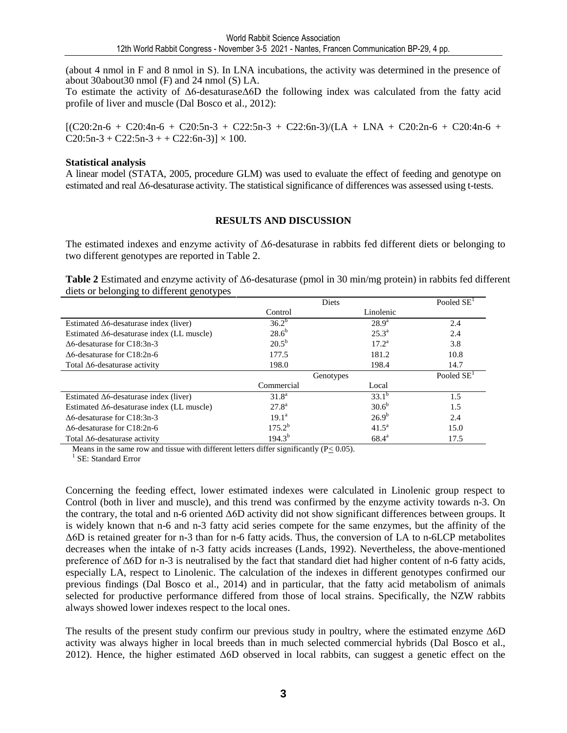(about 4 nmol in F and 8 nmol in S). In LNA incubations, the activity was determined in the presence of about 30about30 nmol (F) and 24 nmol (S) LA.

To estimate the activity of Δ6-desaturaseΔ6D the following index was calculated from the fatty acid profile of liver and muscle (Dal Bosco et al., 2012):

 $[(C20:2n-6 + C20:4n-6 + C20:5n-3 + C22:5n-3 + C22:6n-3)/(LA + LNA + C20:2n-6 + C20:4n-6 + C20:5n-3 + C22:6n-3)]$  $C20:5n-3 + C22:5n-3 + C22:6n-3$   $\times 100$ .

#### **Statistical analysis**

A linear model (STATA, 2005, procedure GLM) was used to evaluate the effect of feeding and genotype on estimated and real Δ6-desaturase activity. The statistical significance of differences was assessed using t-tests.

## **RESULTS AND DISCUSSION**

The estimated indexes and enzyme activity of  $\Delta 6$ -desaturase in rabbits fed different diets or belonging to two different genotypes are reported in Table 2.

**Table 2** Estimated and enzyme activity of Δ6-desaturase (pmol in 30 min/mg protein) in rabbits fed different diets or belonging to different genotypes

|                                                    | Diets          | Pooled SE <sup>1</sup> |                        |
|----------------------------------------------------|----------------|------------------------|------------------------|
|                                                    | Control        | Linolenic              |                        |
| Estimated $\Delta 6$ -desaturase index (liver)     | $36.2^{b}$     | $28.9^{a}$             | 2.4                    |
| Estimated $\Delta 6$ -desaturase index (LL muscle) | $28.6^{b}$     | $25.3^{\circ}$         | 2.4                    |
| $\Delta 6$ -desaturase for C18:3n-3                | $20.5^{\rm b}$ | $17.2^a$               | 3.8                    |
| $\Delta 6$ -desaturase for C18:2n-6                | 177.5          | 181.2                  | 10.8                   |
| Total $\Delta 6$ -desaturase activity              | 198.0          | 198.4                  | 14.7                   |
|                                                    | Genotypes      |                        | Pooled SE <sup>1</sup> |
|                                                    | Commercial     | Local                  |                        |
| Estimated $\Delta 6$ -desaturase index (liver)     | $31.8^{\rm a}$ | $33.1^{b}$             | 1.5                    |
| Estimated $\Delta 6$ -desaturase index (LL muscle) | $27.8^{\rm a}$ | 30.6 <sup>b</sup>      | 1.5                    |
| $\Delta 6$ -desaturase for C18:3n-3                | $19.1^{\rm a}$ | $26.9^{b}$             | 2.4                    |
| $\Delta 6$ -desaturase for C18:2n-6                | $175.2^{b}$    | $41.5^{\circ}$         | 15.0                   |
| Total $\Delta 6$ -desaturase activity              | $194.3^{b}$    | $68.4^{\circ}$         | 17.5                   |

Means in the same row and tissue with different letters differ significantly  $(P< 0.05)$ .

<sup>1</sup> SE: Standard Error

Concerning the feeding effect, lower estimated indexes were calculated in Linolenic group respect to Control (both in liver and muscle), and this trend was confirmed by the enzyme activity towards n-3. On the contrary, the total and n-6 oriented Δ6D activity did not show significant differences between groups. It is widely known that n-6 and n-3 fatty acid series compete for the same enzymes, but the affinity of the Δ6D is retained greater for n-3 than for n-6 fatty acids. Thus, the conversion of LA to n-6LCP metabolites decreases when the intake of n-3 fatty acids increases (Lands, 1992). Nevertheless, the above-mentioned preference of Δ6D for n-3 is neutralised by the fact that standard diet had higher content of n-6 fatty acids, especially LA, respect to Linolenic. The calculation of the indexes in different genotypes confirmed our previous findings (Dal Bosco et al., 2014) and in particular, that the fatty acid metabolism of animals selected for productive performance differed from those of local strains. Specifically, the NZW rabbits always showed lower indexes respect to the local ones.

The results of the present study confirm our previous study in poultry, where the estimated enzyme Δ6D activity was always higher in local breeds than in much selected commercial hybrids (Dal Bosco et al., 2012). Hence, the higher estimated Δ6D observed in local rabbits, can suggest a genetic effect on the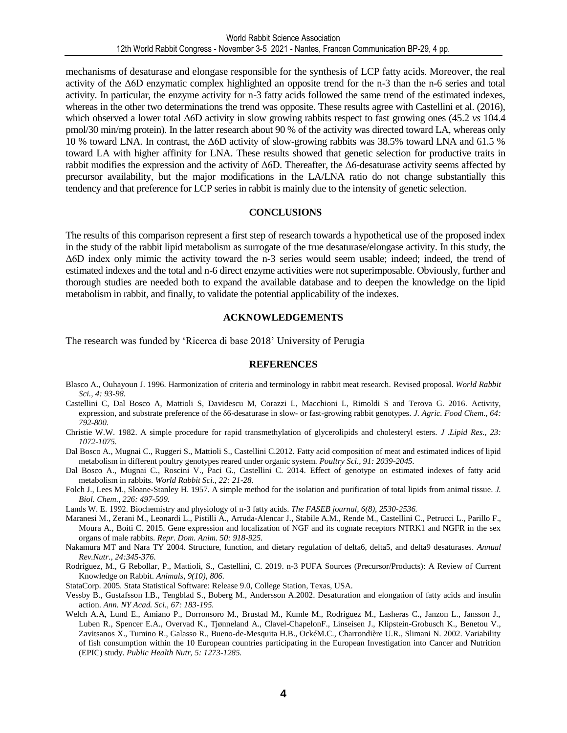mechanisms of desaturase and elongase responsible for the synthesis of LCP fatty acids. Moreover, the real activity of the Δ6D enzymatic complex highlighted an opposite trend for the n-3 than the n-6 series and total activity. In particular, the enzyme activity for n-3 fatty acids followed the same trend of the estimated indexes, whereas in the other two determinations the trend was opposite. These results agree with Castellini et al. (2016), which observed a lower total Δ6D activity in slow growing rabbits respect to fast growing ones (45.2 *vs* 104.4 pmol/30 min/mg protein). In the latter research about 90 % of the activity was directed toward LA, whereas only 10 % toward LNA. In contrast, the Δ6D activity of slow-growing rabbits was 38.5% toward LNA and 61.5 % toward LA with higher affinity for LNA. These results showed that genetic selection for productive traits in rabbit modifies the expression and the activity of Δ6D. Thereafter, the Δ6-desaturase activity seems affected by precursor availability, but the major modifications in the LA/LNA ratio do not change substantially this tendency and that preference for LCP series in rabbit is mainly due to the intensity of genetic selection.

## **CONCLUSIONS**

The results of this comparison represent a first step of research towards a hypothetical use of the proposed index in the study of the rabbit lipid metabolism as surrogate of the true desaturase/elongase activity. In this study, the Δ6D index only mimic the activity toward the n-3 series would seem usable; indeed; indeed, the trend of estimated indexes and the total and n-6 direct enzyme activities were not superimposable. Obviously, further and thorough studies are needed both to expand the available database and to deepen the knowledge on the lipid metabolism in rabbit, and finally, to validate the potential applicability of the indexes.

## **ACKNOWLEDGEMENTS**

The research was funded by 'Ricerca di base 2018' University of Perugia

#### **REFERENCES**

- Blasco A., Ouhayoun J. 1996. Harmonization of criteria and terminology in rabbit meat research. Revised proposal. *World Rabbit Sci., 4: 93-98.*
- Castellini C, Dal Bosco A, Mattioli S, Davidescu M, Corazzi L, Macchioni L, Rimoldi S and Terova G. 2016. Activity, expression, and substrate preference of the δ6-desaturase in slow- or fast-growing rabbit genotypes. *J. Agric. Food Chem., 64: 792-800.*
- Christie W.W. 1982. A simple procedure for rapid transmethylation of glycerolipids and cholesteryl esters. *J .Lipid Res., 23: 1072-1075.*
- Dal Bosco A., Mugnai C., Ruggeri S., Mattioli S., Castellini C.2012. Fatty acid composition of meat and estimated indices of lipid metabolism in different poultry genotypes reared under organic system. *Poultry Sci., 91: 2039-2045.*
- Dal Bosco A., Mugnai C., Roscini V., Paci G., Castellini C. 2014. Effect of genotype on estimated indexes of fatty acid metabolism in rabbits. *World Rabbit Sci., 22: 21-28.*
- Folch J., Lees M., Sloane-Stanley H. 1957. A simple method for the isolation and purification of total lipids from animal tissue. *J. Biol. Chem., 226: 497-509.*
- Lands W. E. 1992. Biochemistry and physiology of n-3 fatty acids. *The FASEB journal, 6(8), 2530-2536.*
- Maranesi M., Zerani M., Leonardi L., Pistilli A., Arruda-Alencar J., Stabile A.M., Rende M., Castellini C., Petrucci L., Parillo F., Moura A., Boiti C. 2015. Gene expression and localization of NGF and its cognate receptors NTRK1 and NGFR in the sex organs of male rabbits. *Repr. Dom. Anim. 50: 918-925.*
- Nakamura MT and Nara TY 2004. Structure, function, and dietary regulation of delta6, delta5, and delta9 desaturases*. Annual Rev.Nutr., 24:345-376.*
- Rodríguez, M., G Rebollar, P., Mattioli, S., Castellini, C. 2019. n-3 PUFA Sources (Precursor/Products): A Review of Current Knowledge on Rabbit. *Animals*, *9(10), 806.*
- StataCorp. 2005. Stata Statistical Software: Release 9.0, College Station, Texas, USA.
- Vessby B., Gustafsson I.B., Tengblad S., Boberg M., Andersson A.2002. Desaturation and elongation of fatty acids and insulin action. *Ann. NY Acad. Sci., 67: 183-195.*
- Welch A.A, Lund E., Amiano P., Dorronsoro M., Brustad M., Kumle M., Rodriguez M., Lasheras C., Janzon L., Jansson J., Luben R., Spencer E.A., Overvad K., Tjønneland A., Clavel-ChapelonF., Linseisen J., Klipstein-Grobusch K., Benetou V., Zavitsanos X., Tumino R., Galasso R., Bueno-de-Mesquita H.B., OckéM.C., Charrondière U.R., Slimani N. 2002. Variability of fish consumption within the 10 European countries participating in the European Investigation into Cancer and Nutrition (EPIC) study. *Public Health Nutr, 5: 1273-1285.*